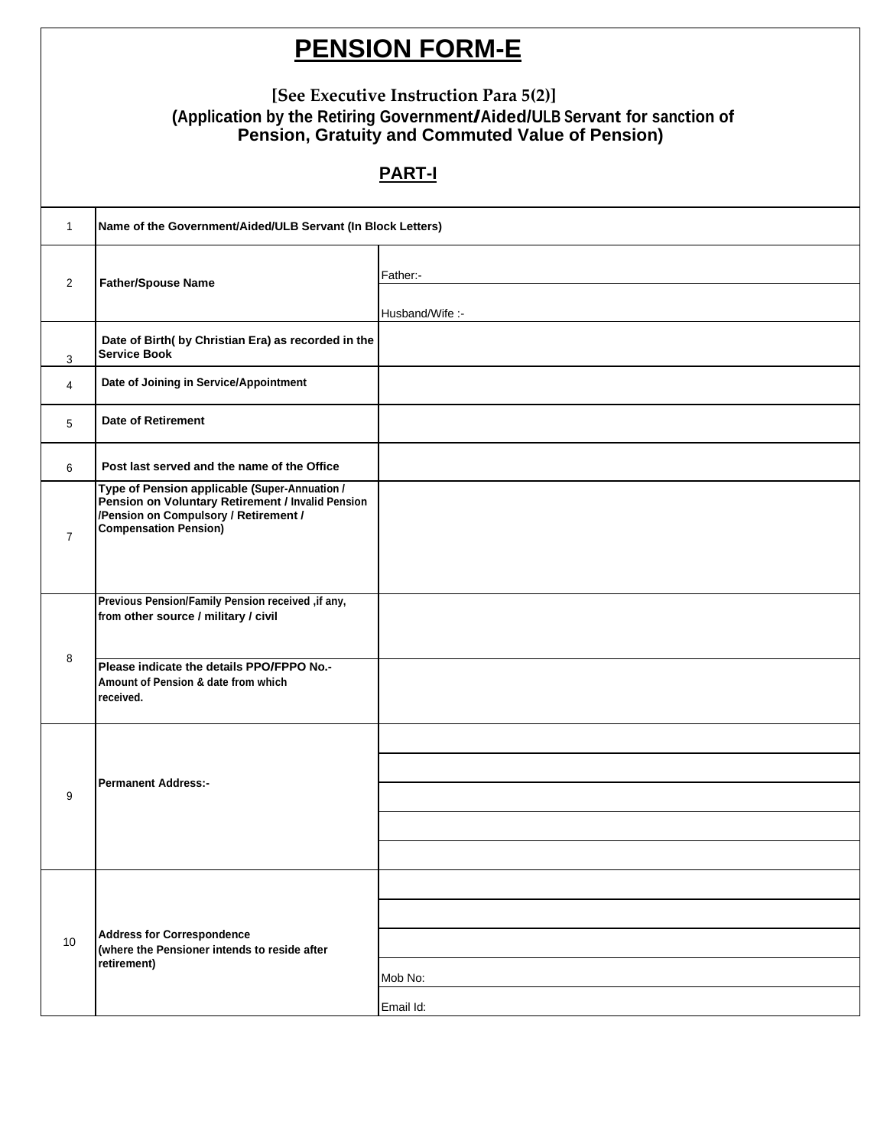## **PENSION FORM-E**

## **[See Executive Instruction Para 5(2)] (Application by the Retiring Government/Aided/ULB Servant for sanction of Pension, Gratuity and Commuted Value of Pension)**

## **PART-I**

| $\overline{1}$ | Name of the Government/Aided/ULB Servant (In Block Letters)                                                                                                                 |                 |
|----------------|-----------------------------------------------------------------------------------------------------------------------------------------------------------------------------|-----------------|
| $\overline{2}$ | <b>Father/Spouse Name</b>                                                                                                                                                   | Father:-        |
|                |                                                                                                                                                                             | Husband/Wife :- |
| 3              | Date of Birth( by Christian Era) as recorded in the<br><b>Service Book</b>                                                                                                  |                 |
| 4              | Date of Joining in Service/Appointment                                                                                                                                      |                 |
| 5              | <b>Date of Retirement</b>                                                                                                                                                   |                 |
| 6              | Post last served and the name of the Office                                                                                                                                 |                 |
| $\overline{7}$ | Type of Pension applicable (Super-Annuation /<br>Pension on Voluntary Retirement / Invalid Pension<br>/Pension on Compulsory / Retirement /<br><b>Compensation Pension)</b> |                 |
| 8              | Previous Pension/Family Pension received , if any,<br>from other source / military / civil                                                                                  |                 |
|                | Please indicate the details PPO/FPPO No.-<br>Amount of Pension & date from which<br>received.                                                                               |                 |
| 9              |                                                                                                                                                                             |                 |
|                | <b>Permanent Address:-</b>                                                                                                                                                  |                 |
|                |                                                                                                                                                                             |                 |
|                |                                                                                                                                                                             |                 |
|                |                                                                                                                                                                             |                 |
| 10             | <b>Address for Correspondence</b><br>(where the Pensioner intends to reside after<br>retirement)                                                                            |                 |
|                |                                                                                                                                                                             |                 |
|                |                                                                                                                                                                             |                 |
|                |                                                                                                                                                                             | Mob No:         |
|                |                                                                                                                                                                             | Email Id:       |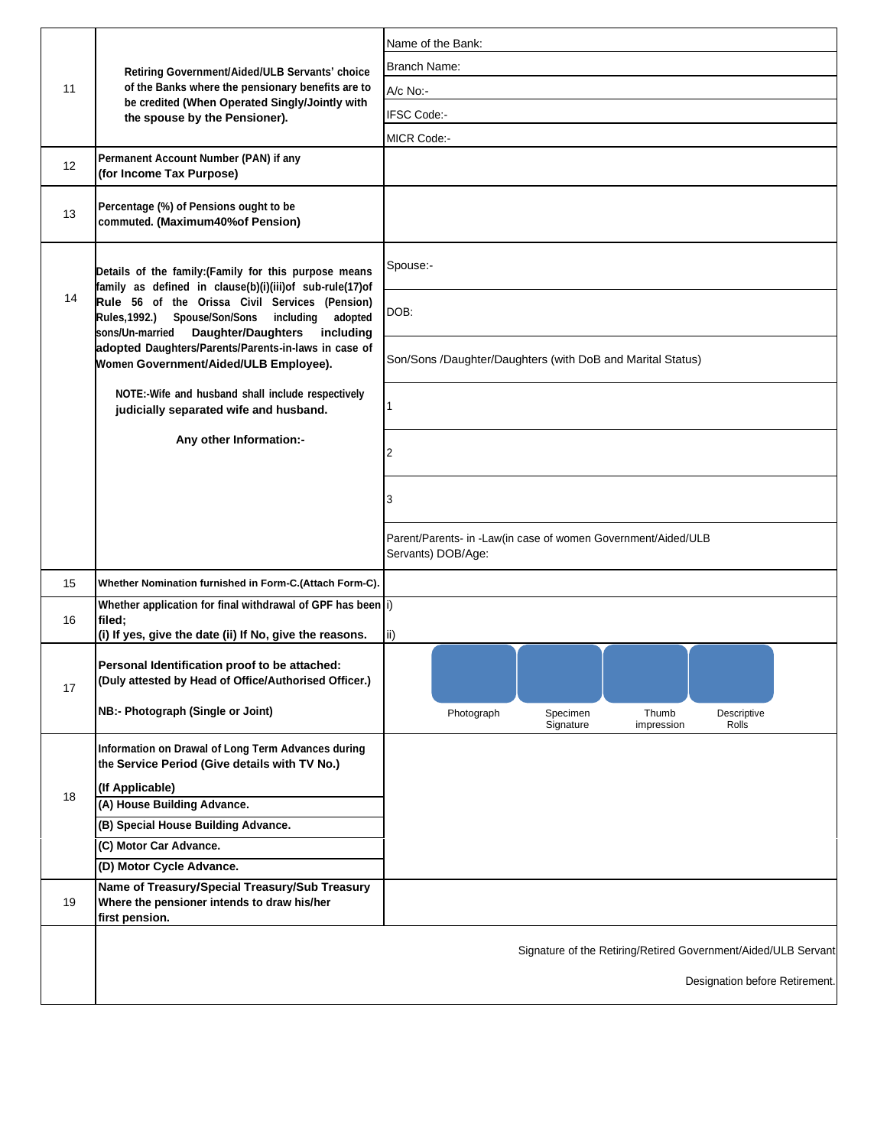| 11 | Retiring Government/Aided/ULB Servants' choice<br>of the Banks where the pensionary benefits are to<br>be credited (When Operated Singly/Jointly with<br>the spouse by the Pensioner).                                                                                                                                                                                                    | Name of the Bank:                                                                   |
|----|-------------------------------------------------------------------------------------------------------------------------------------------------------------------------------------------------------------------------------------------------------------------------------------------------------------------------------------------------------------------------------------------|-------------------------------------------------------------------------------------|
|    |                                                                                                                                                                                                                                                                                                                                                                                           | Branch Name:                                                                        |
|    |                                                                                                                                                                                                                                                                                                                                                                                           | A/c No:-                                                                            |
|    |                                                                                                                                                                                                                                                                                                                                                                                           | IFSC Code:-                                                                         |
|    |                                                                                                                                                                                                                                                                                                                                                                                           | MICR Code:-                                                                         |
| 12 | Permanent Account Number (PAN) if any<br>(for Income Tax Purpose)                                                                                                                                                                                                                                                                                                                         |                                                                                     |
| 13 | Percentage (%) of Pensions ought to be<br>commuted. (Maximum40% of Pension)                                                                                                                                                                                                                                                                                                               |                                                                                     |
| 14 | Details of the family: (Family for this purpose means<br>family as defined in clause(b)(i)(iii)of sub-rule(17)of<br>Rule 56 of the Orissa Civil Services (Pension)<br><b>Rules, 1992.)</b><br>Spouse/Son/Sons<br>including<br>adopted<br>sons/Un-married Daughter/Daughters<br>including<br>adopted Daughters/Parents/Parents-in-laws in case of<br>Women Government/Aided/ULB Employee). | Spouse:-                                                                            |
|    |                                                                                                                                                                                                                                                                                                                                                                                           | DOB:                                                                                |
|    |                                                                                                                                                                                                                                                                                                                                                                                           | Son/Sons /Daughter/Daughters (with DoB and Marital Status)                          |
|    | NOTE:-Wife and husband shall include respectively<br>judicially separated wife and husband.                                                                                                                                                                                                                                                                                               |                                                                                     |
|    | Any other Information:-                                                                                                                                                                                                                                                                                                                                                                   | 2                                                                                   |
|    |                                                                                                                                                                                                                                                                                                                                                                                           | 3                                                                                   |
|    |                                                                                                                                                                                                                                                                                                                                                                                           | Parent/Parents- in -Law(in case of women Government/Aided/ULB<br>Servants) DOB/Age: |
| 15 | Whether Nomination furnished in Form-C.(Attach Form-C).                                                                                                                                                                                                                                                                                                                                   |                                                                                     |
| 16 | Whether application for final withdrawal of GPF has been i)<br>filed;<br>(i) If yes, give the date (ii) If No, give the reasons.                                                                                                                                                                                                                                                          | $\mathsf{ii}$ )                                                                     |
| 17 | Personal Identification proof to be attached:<br>(Duly attested by Head of Office/Authorised Officer.)<br>NB:- Photograph (Single or Joint)                                                                                                                                                                                                                                               | Specimen<br>Descriptive<br>Photograph<br>Thumb                                      |
| 18 | Information on Drawal of Long Term Advances during<br>the Service Period (Give details with TV No.)                                                                                                                                                                                                                                                                                       | Signature<br>impression<br>Rolls                                                    |
|    | (If Applicable)                                                                                                                                                                                                                                                                                                                                                                           |                                                                                     |
|    | (A) House Building Advance.                                                                                                                                                                                                                                                                                                                                                               |                                                                                     |
|    | (B) Special House Building Advance.                                                                                                                                                                                                                                                                                                                                                       |                                                                                     |
|    | (C) Motor Car Advance.<br>(D) Motor Cycle Advance.                                                                                                                                                                                                                                                                                                                                        |                                                                                     |
|    | Name of Treasury/Special Treasury/Sub Treasury                                                                                                                                                                                                                                                                                                                                            |                                                                                     |
| 19 | Where the pensioner intends to draw his/her<br>first pension.                                                                                                                                                                                                                                                                                                                             |                                                                                     |
|    |                                                                                                                                                                                                                                                                                                                                                                                           | Signature of the Retiring/Retired Government/Aided/ULB Servant                      |
|    |                                                                                                                                                                                                                                                                                                                                                                                           | Designation before Retirement.                                                      |